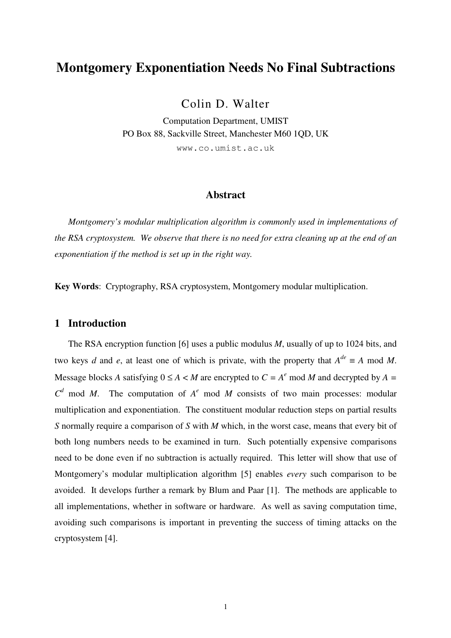# **Montgomery Exponentiation Needs No Final Subtractions**

Colin D. Walter

Computation Department, UMIST PO Box 88, Sackville Street, Manchester M60 1QD, UK www.co.umist.ac.uk

### **Abstract**

 *Montgomery's modular multiplication algorithm is commonly used in implementations of the RSA cryptosystem. We observe that there is no need for extra cleaning up at the end of an exponentiation if the method is set up in the right way.* 

**Key Words**: Cryptography, RSA cryptosystem, Montgomery modular multiplication.

### **1 Introduction**

 The RSA encryption function [6] uses a public modulus *M*, usually of up to 1024 bits, and two keys *d* and *e*, at least one of which is private, with the property that  $A^{de} \equiv A \mod M$ . Message blocks *A* satisfying  $0 \le A \lt M$  are encrypted to  $C = A^e$  mod *M* and decrypted by  $A =$  $C^d$  mod *M*. The computation of  $A^e$  mod *M* consists of two main processes: modular multiplication and exponentiation. The constituent modular reduction steps on partial results *S* normally require a comparison of *S* with *M* which, in the worst case, means that every bit of both long numbers needs to be examined in turn. Such potentially expensive comparisons need to be done even if no subtraction is actually required. This letter will show that use of Montgomery's modular multiplication algorithm [5] enables *every* such comparison to be avoided. It develops further a remark by Blum and Paar [1]. The methods are applicable to all implementations, whether in software or hardware. As well as saving computation time, avoiding such comparisons is important in preventing the success of timing attacks on the cryptosystem [4].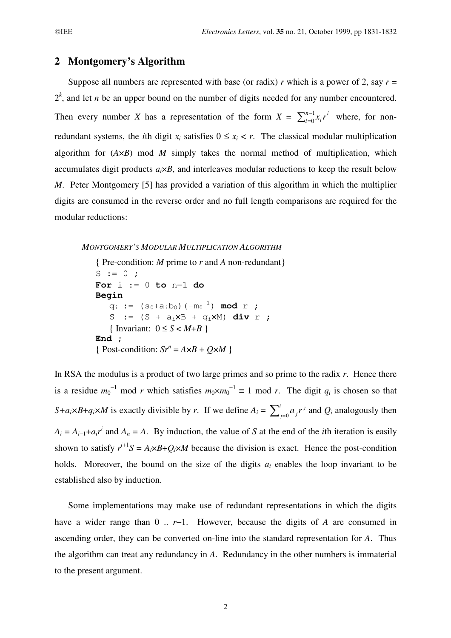### **2 Montgomery's Algorithm**

Suppose all numbers are represented with base (or radix) *r* which is a power of 2, say  $r =$  $2<sup>k</sup>$ , and let *n* be an upper bound on the number of digits needed for any number encountered. Then every number *X* has a representation of the form  $X = \sum_{i=0}^{n-1} x_i r^i$ *i n*  $\sum_{i=0}^{n-1} x_i r^i$  where, for nonredundant systems, the *i*th digit  $x_i$  satisfies  $0 \le x_i < r$ . The classical modular multiplication algorithm for (*A*×*B*) mod *M* simply takes the normal method of multiplication, which accumulates digit products  $a_i \times B$ , and interleaves modular reductions to keep the result below *M*. Peter Montgomery [5] has provided a variation of this algorithm in which the multiplier digits are consumed in the reverse order and no full length comparisons are required for the modular reductions:

#### *MONTGOMERY'S MODULAR MULTIPLICATION ALGORITHM*

```
{ Pre-condition: M prime to r and A non-redundant}
S := 0;For i := 0 to n−1 do
Begin 
q_i := (s_0 + a_i b_0) (-m_0^{-1}) \mod r;
   S := (S + a_i X B + q_i X M) div r ;
   { Invariant: 0 \leq S \leq M+B }
End ; 
{ Post-condition: Sr^n = A \times B + Q \times M }
```
In RSA the modulus is a product of two large primes and so prime to the radix *r*. Hence there is a residue  $m_0^{-1}$  mod *r* which satisfies  $m_0 \times m_0^{-1} \equiv 1 \mod r$ . The digit  $q_i$  is chosen so that *S*+*a*<sub>*i*</sub>×*B*+*q*<sub>*i*</sub>×*M* is exactly divisible by *r*. If we define  $A_i = \sum_{i=0}^{i} a_j r^j$ *j*  $\sum_{j=0}^{i} a_j r^j$  and  $Q_i$  analogously then  $A_i = A_{i-1} + a_i r^i$  and  $A_n = A$ . By induction, the value of *S* at the end of the *i*th iteration is easily shown to satisfy  $r^{i+1}S = A_i \times B + Q_i \times M$  because the division is exact. Hence the post-condition holds. Moreover, the bound on the size of the digits  $a_i$  enables the loop invariant to be established also by induction.

 Some implementations may make use of redundant representations in which the digits have a wider range than 0 .. *r*−1. However, because the digits of *A* are consumed in ascending order, they can be converted on-line into the standard representation for *A*. Thus the algorithm can treat any redundancy in *A*. Redundancy in the other numbers is immaterial to the present argument.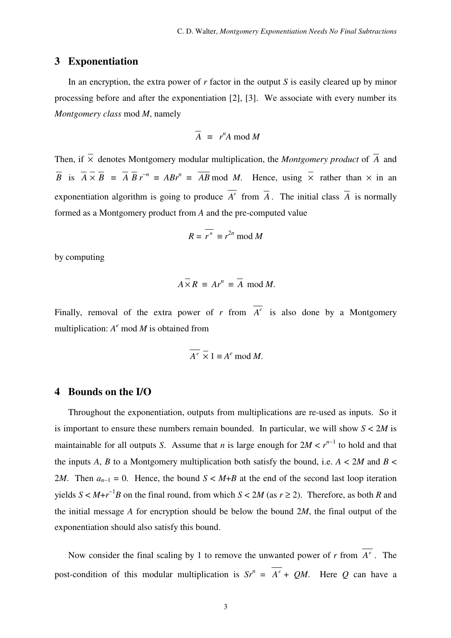### **3 Exponentiation**

 In an encryption, the extra power of *r* factor in the output *S* is easily cleared up by minor processing before and after the exponentiation [2], [3]. We associate with every number its *Montgomery class* mod *M*, namely

$$
\overline{A} \equiv r^n A \bmod M
$$

Then, if  $\overline{\times}$  denotes Montgomery modular multiplication, the *Montgomery product* of  $\overline{A}$  and *B* is  $\overline{A} \times \overline{B} = \overline{A} \ \overline{B} \ r^{-n} = ABr^n \equiv \overline{AB} \ \text{mod} \ M$ . Hence, using  $\overline{\times}$  rather than  $\times$  in an exponentiation algorithm is going to produce  $A^e$  from  $\overline{A}$ . The initial class  $\overline{A}$  is normally formed as a Montgomery product from *A* and the pre-computed value

$$
R = \overline{r^n} \equiv r^{2n} \bmod M
$$

by computing

$$
A \times R \equiv Ar^n \equiv \overline{A} \bmod M.
$$

Finally, removal of the extra power of  $r$  from  $A^e$  is also done by a Montgomery multiplication:  $A^e$  mod  $M$  is obtained from

$$
\overline{A^e} \times 1 \equiv A^e \bmod M.
$$

### **4 Bounds on the I/O**

 Throughout the exponentiation, outputs from multiplications are re-used as inputs. So it is important to ensure these numbers remain bounded. In particular, we will show  $S < 2M$  is maintainable for all outputs *S*. Assume that *n* is large enough for  $2M < r^{n-1}$  to hold and that the inputs A, B to a Montgomery multiplication both satisfy the bound, i.e.  $A < 2M$  and  $B <$ 2*M*. Then  $a_{n-1} = 0$ . Hence, the bound  $S < M+B$  at the end of the second last loop iteration yields  $S < M+r^{-1}B$  on the final round, from which  $S < 2M$  (as  $r \ge 2$ ). Therefore, as both *R* and the initial message *A* for encryption should be below the bound 2*M*, the final output of the exponentiation should also satisfy this bound.

Now consider the final scaling by 1 to remove the unwanted power of  $r$  from  $A^e$ . The post-condition of this modular multiplication is  $Sr^n = A^e + QM$ . Here *Q* can have a